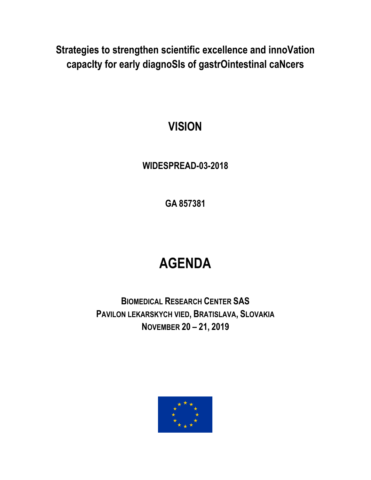**Strategies to strengthen scientific excellence and innoVation capacIty for early diagnoSIs of gastrOintestinal caNcers**

# **VISION**

## **WIDESPREAD-03-2018**

**GA 857381**

# **AGENDA**

**BIOMEDICAL RESEARCH CENTER SAS PAVILON LEKARSKYCH VIED, BRATISLAVA, SLOVAKIA NOVEMBER 20 – 21, 2019**

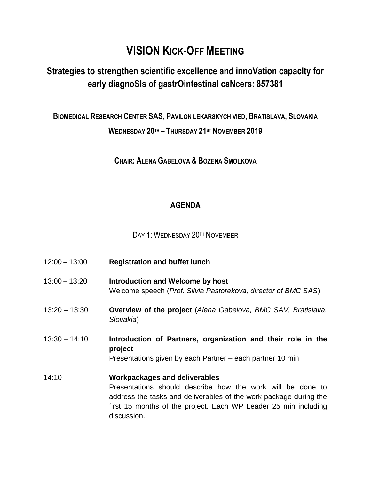## **VISION KICK-OFF MEETING**

### **Strategies to strengthen scientific excellence and innoVation capacIty for early diagnoSIs of gastrOintestinal caNcers: 857381**

#### **BIOMEDICAL RESEARCH CENTER SAS, PAVILON LEKARSKYCH VIED, BRATISLAVA, SLOVAKIA WEDNESDAY 20TH – THURSDAY 21ST NOVEMBER 2019**

**CHAIR: ALENA GABELOVA & BOZENA SMOLKOVA**

#### **AGENDA**

DAY 1: WEDNESDAY 20TH NOVEMBER

| $12:00 - 13:00$ | <b>Registration and buffet lunch</b>                                                                                                                                                                                                                      |
|-----------------|-----------------------------------------------------------------------------------------------------------------------------------------------------------------------------------------------------------------------------------------------------------|
| $13:00 - 13:20$ | Introduction and Welcome by host<br>Welcome speech (Prof. Silvia Pastorekova, director of BMC SAS)                                                                                                                                                        |
| $13:20 - 13:30$ | <b>Overview of the project (Alena Gabelova, BMC SAV, Bratislava,</b><br>Slovakia)                                                                                                                                                                         |
| $13:30 - 14:10$ | Introduction of Partners, organization and their role in the<br>project<br>Presentations given by each Partner – each partner 10 min                                                                                                                      |
| $14:10 -$       | <b>Workpackages and deliverables</b><br>Presentations should describe how the work will be done to<br>address the tasks and deliverables of the work package during the<br>first 15 months of the project. Each WP Leader 25 min including<br>discussion. |